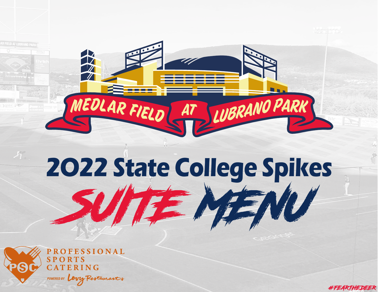



#FEARTHEDEER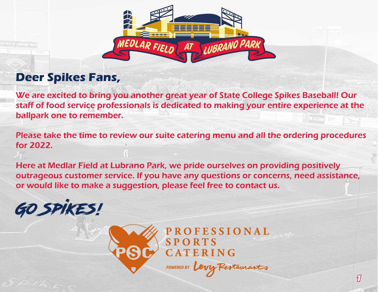

## **Deer Spikes Fans,**

We are excited to bring you another great year of State College Spikes Baseball! Our staff of food service professionals is dedicated to making your entire experience at the ballpark one to remember.

Please take the time to review our suite catering menu and all the ordering procedures for 2022.

Here at Medlar Field at Lubrano Park, we pride ourselves on providing positively outrageous customer service. If you have any questions or concerns, need assistance, or would like to make a suggestion, please feel free to contact us.



**PROFESSIONAL SPORTS** CATERING POWERED BY Levy Restaurants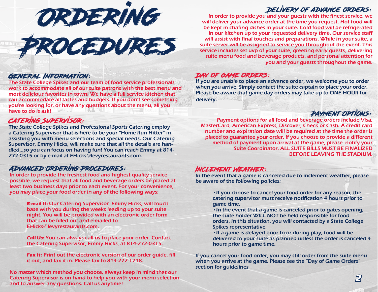

#### General Information:

The State College Spikes and our team of food service professionals work to accommodate all of our suite patrons with the best menu and most delicious favorites in town! We have a full service kitchen that can accommodate all tastes and budgets. If you don't see something you're looking for, or have any questions about the menu, all you have to do is ask!

#### Catering Supervisor:

The State College Spikes and Professional Sports Catering employ a Catering Supervisor that is here to be your "Home Run Hitter" in assisting you with menu selections and special needs. Our Catering Supervisor, Emmy Hicks, will make sure that all the details are handled…so you can focus on having fun! You can reach Emmy at 814- 272-0315 or by e-mail at EHicks@levyrestaurants.com.

#### Advanced Ordering Procedures:

In order to provide the freshest food and highest quality service possible, we request that all food and beverage orders be placed at least two business days prior to each event. For your convenience, you may place your food order in any of the following ways:

> **E-mail It:** Our Catering Supervisor, Emmy Hicks, will touch base with you during the weeks leading up to your suite night. You will be provided with an electronic order form that can be filled out and e-mailed to EHicks@levyrestaurants.com.

**Call Us:** You can always call us to place your order. Contact the Catering Supervisor, Emmy Hicks, at 814-272-0315.

**Fax It:** Print out the electronic version of our order guide, fill it out, and fax it in. Please fax to 814-272-1718.

No matter which method you choose, always keep in mind that our Catering Supervisor is on hand to help you with your menu selection and to answer any questions. Call us anytime!

#### Delivery of advance orders:

In order to provide you and your guests with the finest service, we will deliver your advance order at the time you request. Hot food will be kept in chafing dishes in your suite. Cold food will be refrigerated in our kitchen up to your requested delivery time. Our service staff will assist with final touches and preparations. While in your suite, a suite server will be assigned to service you throughout the event. This service includes set uvp of your suite, greeting early guests, delivering suite menu food and beverage products, and personal attention for you and your guests throughout the game.

#### Day of game orders:

If you are unable to place an advance order, we welcome you to order when you arrive. Simply contact the suite captain to place your order. Please be aware that game day orders may take up to ONE HOUR for delivery.

#### Payment Options:

Payment options for all food and beverage orders include Visa, MasterCard, American Express, Discover, Check or Cash. A credit card number and expiration date will be required at the time the order is placed to guarantee your order. If you choose to provide a different method of payment upon arrival at the game, please notify your Suite Coordinator. ALL SUITE BILLS MUST BE FINALIZED BEFORE LEAVING THE STADIUM.

#### Inclement Weather:

In the event that a game is canceled due to inclement weather, please be aware of the following policies:

- •If you choose to cancel your food order for any reason, the catering supervisor must receive notification 4 hours prior to game time.
- •In the event that a game is canceled prior to gates opening, the suite holder WILL NOT be held responsible for food orders. In this situation, you will contacted by a State College Spikes representative.
- •If a game is delayed prior to or during play, food will be delivered to your suite as planned unless the order is canceled 4 hours prior to game time.

If you cancel your food order, you may still order from the suite menu when you arrive at the game. Please see the "Day of Game Orders" section for guidelines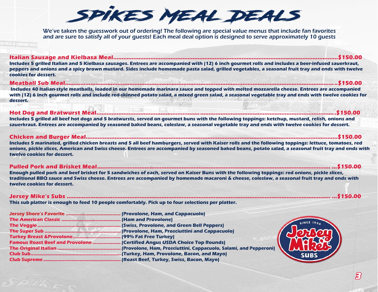# Spikes Meal Deals

We've taken the guesswork out of ordering! The following are special value menus that include fan favorites and are sure to satisfy all of your guests! Each meal deal option is designed to serve approximately 10 guests

#### **Italian Sausage and Kielbasa Meal.....................................................................................................................................\$150.00**

**Includes 5 grilled Italian and 5 Kielbasa sausages. Entrees are accompanied with (12) 6 inch gourmet rolls and includes a beer-infused sauerkraut, peppers and onions and a spicy brown mustard. Sides include homemade pasta salad, grilled vegetables, a seasonal fruit tray and ends with twelve cookies for dessert.**

**Meatball Sub Meal.................................................................................................................................................................\$150.00 Includes 40 Italian-style meatballs, loaded in our homemade marinara sauce and topped with melted mozzarella cheese. Entrees are accompanied with (12) 6 inch gourmet rolls and include red-skinned potato salad, a mixed green salad, a seasonal vegetable tray and ends with twelve cookies for dessert. .......................................................................................................................................................................................................................**

## **Hot Dog and Bratwurst Meal.............................................................................................................................................\$150.00**

**Includes 5 grilled all beef hot dogs and 5 bratwursts, served on gourmet buns with the following toppings: ketchup, mustard, relish, onions and sauerkraut. Entrees are accompanied by seasoned baked beans, coleslaw, a seasonal vegetable tray and ends with twelve cookies for dessert.**

### **Chicken and Burger Meal.....................................................................................................................................................\$150.00**

**Includes 5 marinated, grilled chicken breasts and 5 all beef hamburgers, served with Kaiser rolls and the following toppings: lettuce, tomatoes, red onions, pickle slices, American and Swiss cheese. Entrees are accompanied by seasoned baked beans, potato salad, a seasonal fruit tray and ends with twelve cookies for dessert.**

#### **Pulled Pork and Brisket Meal.......................................................................................................................................... ...\$150.00**

**Enough pulled pork and beef brisket for 5 sandwiches of each, served on Kaiser Buns with the following toppings: red onions, pickle slices, traditional BBQ sauce and Swiss cheese. Entrees are accompanied by homemade macaroni & cheese, coleslaw, a seasonal fruit tray and ends with twelve cookies for dessert.**

#### **Jersey Mike's Subs ............................................................................................................................................................ ...\$150.00**

**This sub platter is enough to feed 10 people comfortably. Pick up to four selections per platter.**

| <b>Famous Roast Beef and Provolone  (Certified Angus USDA Choice Top Rounds)</b> |  |
|----------------------------------------------------------------------------------|--|
|                                                                                  |  |
|                                                                                  |  |
|                                                                                  |  |

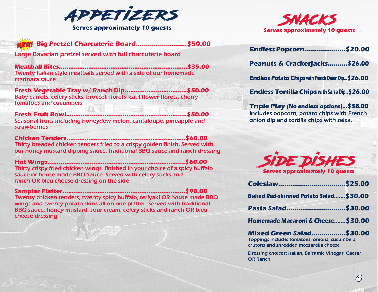

 **Big Pretzel Charcuterie Board..........................\$50.00** Large Bavarian pretzel served with full charcuterie board

**Meatball Bites......................................................................\$35.00**  Twenty Italian style meatballs served with a side of our homemade marinara sauce

**Fresh Vegetable Tray w/ Ranch Dip..................................\$50.00** Baby carrots, celery sticks, broccoli florets, cauliflower florets, cherry tomatoes and cucumbers

**Fresh Fruit Bowl..................................................................\$50.00** Seasonal fruits including honeydew melon, cantaloupe, pineapple and strawberries

**Chicken Tenders.................................................................\$60.00** Thirty breaded chicken tenders fried to a crispy golden finish. Served with our honey mustard dipping sauce, traditional BBQ sauce and ranch dressing

**Hot Wings...........................................................................\$60.00** Thirty crispy fried chicken wings, finished in your choice of a spicy buffalo sauce or house made BBQ Sauce. Served with celery sticks and ranch OR bleu cheese dressing on the side

**Sampler Platter...................................................................\$90.00** Twenty chicken tenders, twenty spicy buffalo, teriyaki OR house made BBQ wings and twenty potato skins all on one platter. Served with traditional BBQ sauce, honey mustard, sour cream, celery sticks and ranch OR bleu cheese dressing



| Endless Popcorn\$20.00                                   |  |
|----------------------------------------------------------|--|
| Peanuts & Crackerjacks\$26.00                            |  |
| <b>Endless Potato Chips with French Onion Dip\$26.00</b> |  |
| <b>Endless Tortilla Chips with Salsa Dip\$26.00</b>      |  |

**Triple Play (No endless options)...\$38.00** Includes popcorn, potato chips with French onion dip and tortilla chips with salsa.



| Coleslaw\$25.00                        |  |
|----------------------------------------|--|
| Baked Red-skinned Potato Salad \$30.00 |  |
| Pasta Salad\$30.00                     |  |
| Homemade Macaroni & Cheese \$30.00     |  |
| Mixed Green Salad\$30.00               |  |

Toppings include: tomatoes, onions, cucumbers, crutons and shredded mozzarella cheese

Dressing choices: Italian, Balsamic Vinegar, Caesar OR Ranch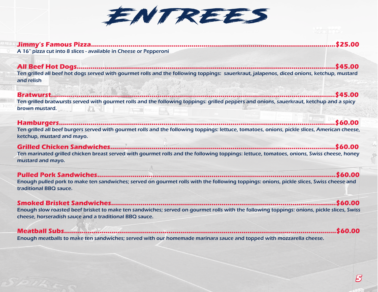

**Jimmy's Famous Pizza............................................................................................................................\$25.00** A 16" pizza cut into 8 slices - available in Cheese or Pepperoni

**All Beef Hot Dogs...................................................................................................................................\$45.00** Ten grilled all beef hot dogs served with gourmet rolls and the following toppings: sauerkraut, jalapenos, diced onions, ketchup, mustard and relish

**Bratwurst................................................................................................................................................\$45.00**  Ten grilled bratwursts served with gourmet rolls and the following toppings: grilled peppers and onions, sauerkraut, ketchup and a spicy brown mustard.  $\sqrt{1}$ 

**Hamburgers............................................................................................................................................\$60.00** Ten grilled all beef burgers served with gourmet rolls and the following toppings: lettuce, tomatoes, onions, pickle slices, American cheese, ketchup, mustard and mayo.

**Grilled Chicken Sandwiches..................................................................................................................\$60.00** Ten marinated grilled chicken breast served with gourmet rolls and the following toppings: lettuce, tomatoes, onions, Swiss cheese, honey mustard and mayo.

**Pulled Pork Sandwiches.........................................................................................................................\$60.00** Enough pulled pork to make ten sandwiches; served on gourmet rolls with the following toppings: onions, pickle slices, Swiss cheese and traditional BBQ sauce.

**Smoked Brisket Sandwiches..................................................................................................................\$60.00** Enough slow roasted beef brisket to make ten sandwiches; served on gourmet rolls with the following toppings: onions, pickle slices, Swiss cheese, horseradish sauce and a traditional BBQ sauce.

**Meatball Subs..........................................................................................................................................\$60.00**

Enough meatballs to make ten sandwiches; served with our homemade marinara sauce and topped with mozzarella cheese.